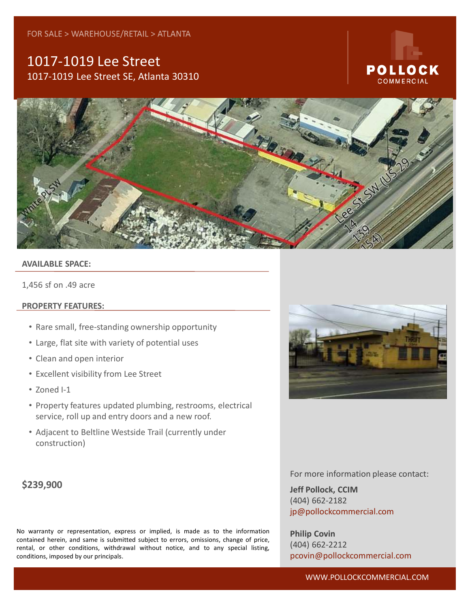## 1017-1019 Lee Street 1017-1019 Lee Street SE, Atlanta 30310

# POLLOCK COMMERCIAL



#### **AVAILABLE SPACE:**

1,456 sf on .49 acre

#### **PROPERTY FEATURES:**

- Rare small, free-standing ownership opportunity
- Large, flat site with variety of potential uses
- Clean and open interior
- Excellent visibility from Lee Street
- Zoned I-1
- Property features updated plumbing, restrooms, electrical service, roll up and entry doors and a new roof.
- Adjacent to Beltline Westside Trail (currently under construction)

### **\$239,900**

**For more information please contact:** No warranty or representation, express or implied, is made as to the information contained herein, and same is submitted subject to errors, omissions, change of price, rentai, or otner conditions, witndra<br>conditions, imposed by our principals. jp@pollockcommercial.com rental, or other conditions, withdrawal without notice, and to any special listing,



For more information please contact:

**Jeff Pollock, CCIM** (404) 662-2182 jp@pollockcommercial.com

**Philip Covin** (404) 662-2212 pcovin@pollockcommercial.com

#### WWW.POLLOCKCOMMERCIAL.COM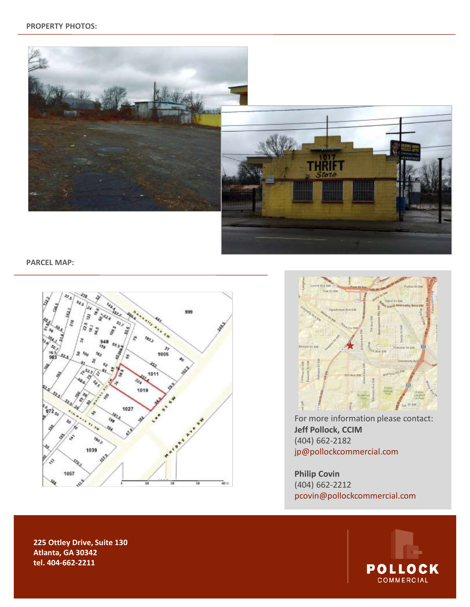

**PARCEL MAP:**





For more information please contact: **Jeff Pollock, CCIM** (404) 662-2182 jp@pollockcommercial.com

**Philip Covin** (404) 662-2212 pcovin@pollockcommercial.com



**154 Krog Street, Suite 135 Atlanta, GA 30307 tel. 404-865-3875 225 Ottley Drive, Suite 130 Atlanta, GA 30342 tel. 404-662-2211**